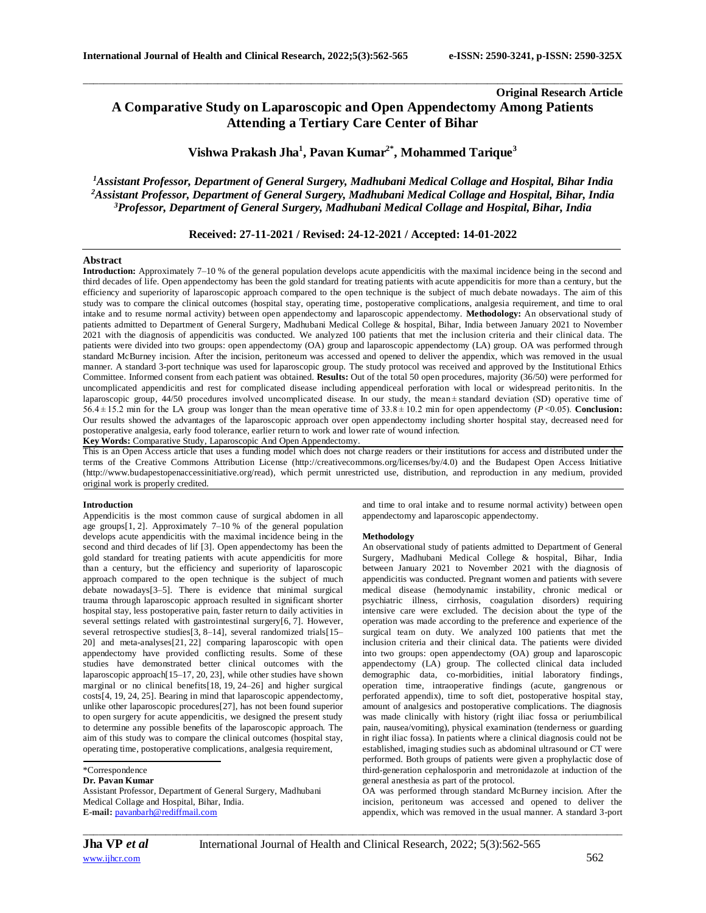# **Original Research Article A Comparative Study on Laparoscopic and Open Appendectomy Among Patients Attending a Tertiary Care Center of Bihar**

# **Vishwa Prakash Jha<sup>1</sup> , Pavan Kumar2\* , Mohammed Tarique<sup>3</sup>**

\_\_\_\_\_\_\_\_\_\_\_\_\_\_\_\_\_\_\_\_\_\_\_\_\_\_\_\_\_\_\_\_\_\_\_\_\_\_\_\_\_\_\_\_\_\_\_\_\_\_\_\_\_\_\_\_\_\_\_\_\_\_\_\_\_\_\_\_\_\_\_\_\_\_\_\_\_\_\_\_\_\_\_\_\_\_\_\_\_\_\_\_\_\_\_\_\_\_\_\_\_\_\_\_

*<sup>1</sup>Assistant Professor, Department of General Surgery, Madhubani Medical Collage and Hospital, Bihar India <sup>2</sup>Assistant Professor, Department of General Surgery, Madhubani Medical Collage and Hospital, Bihar, India <sup>3</sup>Professor, Department of General Surgery, Madhubani Medical Collage and Hospital, Bihar, India*

## **Received: 27-11-2021 / Revised: 24-12-2021 / Accepted: 14-01-2022**

## **Abstract**

**Introduction:** Approximately 7–10 % of the general population develops acute appendicitis with the maximal incidence being in the second and third decades of life. Open appendectomy has been the gold standard for treating patients with acute appendicitis for more than a century, but the efficiency and superiority of laparoscopic approach compared to the open technique is the subject of much debate nowadays. The aim of this study was to compare the clinical outcomes (hospital stay, operating time, postoperative complications, analgesia requirement, and time to oral intake and to resume normal activity) between open appendectomy and laparoscopic appendectomy. **Methodology:** An observational study of patients admitted to Department of General Surgery, Madhubani Medical College & hospital, Bihar, India between January 2021 to November 2021 with the diagnosis of appendicitis was conducted. We analyzed 100 patients that met the inclusion criteria and their clinical data. The patients were divided into two groups: open appendectomy (OA) group and laparoscopic appendectomy (LA) group. OA was performed through standard McBurney incision. After the incision, peritoneum was accessed and opened to deliver the appendix, which was removed in the usual manner. A standard 3-port technique was used for laparoscopic group. The study protocol was received and approved by the Institutional Ethics Committee. Informed consent from each patient was obtained. **Results:** Out of the total 50 open procedures, majority (36/50) were performed for uncomplicated appendicitis and rest for complicated disease including appendiceal perforation with local or widespread peritonitis. In the laparoscopic group, 44/50 procedures involved uncomplicated disease. In our study, the mean ± standard deviation (SD) operative time of 56.4 ± 15.2 min for the LA group was longer than the mean operative time of 33.8 ± 10.2 min for open appendectomy (*P* <0.05). **Conclusion:**  Our results showed the advantages of the laparoscopic approach over open appendectomy including shorter hospital stay, decreased need for postoperative analgesia, early food tolerance, earlier return to work and lower rate of wound infection.

**Key Words:** Comparative Study, Laparoscopic And Open Appendectomy.

This is an Open Access article that uses a funding model which does not charge readers or their institutions for access and distributed under the terms of the Creative Commons Attribution License (http://creativecommons.org/licenses/by/4.0) and the Budapest Open Access Initiative (http://www.budapestopenaccessinitiative.org/read), which permit unrestricted use, distribution, and reproduction in any medium, provided original work is properly credited.

#### **Introduction**

Appendicitis is the most common cause of surgical abdomen in all age groups[\[1,](https://wjes.biomedcentral.com/articles/10.1186/s13017-016-0102-5#ref-CR1) [2\]](https://wjes.biomedcentral.com/articles/10.1186/s13017-016-0102-5#ref-CR2). Approximately 7–10 % of the general population develops acute appendicitis with the maximal incidence being in the second and third decades of lif [\[3\]](https://wjes.biomedcentral.com/articles/10.1186/s13017-016-0102-5#ref-CR3). Open appendectomy has been the gold standard for treating patients with acute appendicitis for more than a century, but the efficiency and superiority of laparoscopic approach compared to the open technique is the subject of much debate nowadays[\[3–](https://wjes.biomedcentral.com/articles/10.1186/s13017-016-0102-5#ref-CR3)[5\]](https://wjes.biomedcentral.com/articles/10.1186/s13017-016-0102-5#ref-CR5). There is evidence that minimal surgical trauma through laparoscopic approach resulted in significant shorter hospital stay, less postoperative pain, faster return to daily activities in several settings related with gastrointestinal surgery[\[6,](https://wjes.biomedcentral.com/articles/10.1186/s13017-016-0102-5#ref-CR6) [7\]](https://wjes.biomedcentral.com/articles/10.1186/s13017-016-0102-5#ref-CR7). However, several retrospective studie[s\[3,](https://wjes.biomedcentral.com/articles/10.1186/s13017-016-0102-5#ref-CR3) [8](https://wjes.biomedcentral.com/articles/10.1186/s13017-016-0102-5#ref-CR8)[–14\]](https://wjes.biomedcentral.com/articles/10.1186/s13017-016-0102-5#ref-CR14), several randomized trials[\[15–](https://wjes.biomedcentral.com/articles/10.1186/s13017-016-0102-5#ref-CR15) [20\]](https://wjes.biomedcentral.com/articles/10.1186/s13017-016-0102-5#ref-CR20) and meta-analyses[\[21,](https://wjes.biomedcentral.com/articles/10.1186/s13017-016-0102-5#ref-CR21) [22\]](https://wjes.biomedcentral.com/articles/10.1186/s13017-016-0102-5#ref-CR22) comparing laparoscopic with open appendectomy have provided conflicting results. Some of these studies have demonstrated better clinical outcomes with the laparoscopic approach[\[15–](https://wjes.biomedcentral.com/articles/10.1186/s13017-016-0102-5#ref-CR15)[17,](https://wjes.biomedcentral.com/articles/10.1186/s13017-016-0102-5#ref-CR17) [20,](https://wjes.biomedcentral.com/articles/10.1186/s13017-016-0102-5#ref-CR20) [23\]](https://wjes.biomedcentral.com/articles/10.1186/s13017-016-0102-5#ref-CR23), while other studies have shown marginal or no clinical benefits[\[18,](https://wjes.biomedcentral.com/articles/10.1186/s13017-016-0102-5#ref-CR18) [19,](https://wjes.biomedcentral.com/articles/10.1186/s13017-016-0102-5#ref-CR19) [24–](https://wjes.biomedcentral.com/articles/10.1186/s13017-016-0102-5#ref-CR24)[26\]](https://wjes.biomedcentral.com/articles/10.1186/s13017-016-0102-5#ref-CR26) and higher surgical cost[s\[4,](https://wjes.biomedcentral.com/articles/10.1186/s13017-016-0102-5#ref-CR4) [19,](https://wjes.biomedcentral.com/articles/10.1186/s13017-016-0102-5#ref-CR19) [24,](https://wjes.biomedcentral.com/articles/10.1186/s13017-016-0102-5#ref-CR24) [25\]](https://wjes.biomedcentral.com/articles/10.1186/s13017-016-0102-5#ref-CR25). Bearing in mind that laparoscopic appendectomy, unlike other laparoscopic procedures[\[27\]](https://wjes.biomedcentral.com/articles/10.1186/s13017-016-0102-5#ref-CR27), has not been found superior to open surgery for acute appendicitis, we designed the present study to determine any possible benefits of the laparoscopic approach. The aim of this study was to compare the clinical outcomes (hospital stay, operating time, postoperative complications, analgesia requirement,

## **Dr. Pavan Kumar**

Assistant Professor, Department of General Surgery, Madhubani Medical Collage and Hospital, Bihar, India. **E-mail:** [pavanbarh@rediffmail.com](mailto:pavanbarh@rediffmail.com)

and time to oral intake and to resume normal activity) between open appendectomy and laparoscopic appendectomy.

#### **Methodology**

An observational study of patients admitted to Department of General Surgery, Madhubani Medical College & hospital, Bihar, India between January 2021 to November 2021 with the diagnosis of appendicitis was conducted. Pregnant women and patients with severe medical disease (hemodynamic instability, chronic medical or psychiatric illness, cirrhosis, coagulation disorders) requiring intensive care were excluded. The decision about the type of the operation was made according to the preference and experience of the surgical team on duty. We analyzed 100 patients that met the inclusion criteria and their clinical data. The patients were divided into two groups: open appendectomy (OA) group and laparoscopic appendectomy (LA) group. The collected clinical data included demographic data, co-morbidities, initial laboratory findings, operation time, intraoperative findings (acute, gangrenous or perforated appendix), time to soft diet, postoperative hospital stay, amount of analgesics and postoperative complications. The diagnosis was made clinically with history (right iliac fossa or periumbilical pain, nausea/vomiting), physical examination (tenderness or guarding in right iliac fossa). In patients where a clinical diagnosis could not be established, imaging studies such as abdominal ultrasound or CT were performed. Both groups of patients were given a prophylactic dose of third-generation cephalosporin and metronidazole at induction of the general anesthesia as part of the protocol.

OA was performed through standard McBurney incision. After the incision, peritoneum was accessed and opened to deliver the appendix, which was removed in the usual manner. A standard 3-port

<sup>\*</sup>Correspondence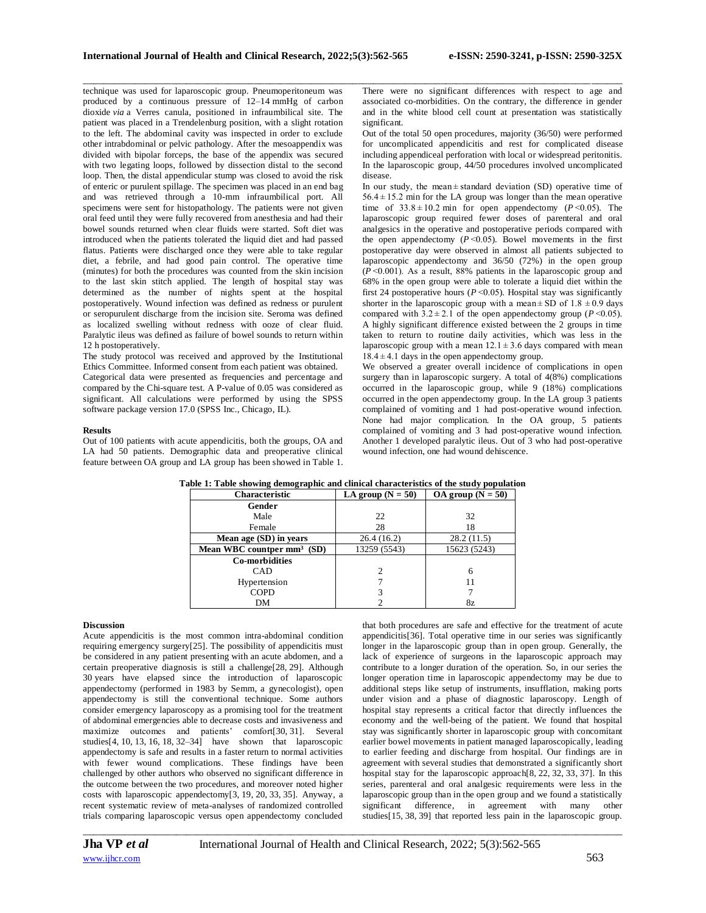\_\_\_\_\_\_\_\_\_\_\_\_\_\_\_\_\_\_\_\_\_\_\_\_\_\_\_\_\_\_\_\_\_\_\_\_\_\_\_\_\_\_\_\_\_\_\_\_\_\_\_\_\_\_\_\_\_\_\_\_\_\_\_\_\_\_\_\_\_\_\_\_\_\_\_\_\_\_\_\_\_\_\_\_\_\_\_\_\_\_\_\_\_\_\_\_\_\_\_\_\_\_\_\_ technique was used for laparoscopic group. Pneumoperitoneum was produced by a continuous pressure of 12–14 mmHg of carbon dioxide *via* a Verres canula, positioned in infraumbilical site. The patient was placed in a Trendelenburg position, with a slight rotation to the left. The abdominal cavity was inspected in order to exclude other intrabdominal or pelvic pathology. After the mesoappendix was divided with bipolar forceps, the base of the appendix was secured with two legating loops, followed by dissection distal to the second loop. Then, the distal appendicular stump was closed to avoid the risk of enteric or purulent spillage. The specimen was placed in an end bag and was retrieved through a 10-mm infraumbilical port. All specimens were sent for histopathology. The patients were not given oral feed until they were fully recovered from anesthesia and had their bowel sounds returned when clear fluids were started. Soft diet was introduced when the patients tolerated the liquid diet and had passed flatus. Patients were discharged once they were able to take regular diet, a febrile, and had good pain control. The operative time (minutes) for both the procedures was counted from the skin incision to the last skin stitch applied. The length of hospital stay was determined as the number of nights spent at the hospital postoperatively. Wound infection was defined as redness or purulent or seropurulent discharge from the incision site. Seroma was defined as localized swelling without redness with ooze of clear fluid. Paralytic ileus was defined as failure of bowel sounds to return within 12 h postoperatively.

The study protocol was received and approved by the Institutional Ethics Committee. Informed consent from each patient was obtained. Categorical data were presented as frequencies and percentage and compared by the Chi-square test. A P-value of 0.05 was considered as significant. All calculations were performed by using the SPSS software package version 17.0 (SPSS Inc., Chicago, IL).

## **Results**

Out of 100 patients with acute appendicitis, both the groups, OA and LA had 50 patients. Demographic data and preoperative clinical feature between OA group and LA group has been showed in Table 1.

There were no significant differences with respect to age and associated co-morbidities. On the contrary, the difference in gender and in the white blood cell count at presentation was statistically significant.

Out of the total 50 open procedures, majority (36/50) were performed for uncomplicated appendicitis and rest for complicated disease including appendiceal perforation with local or widespread peritonitis. In the laparoscopic group, 44/50 procedures involved uncomplicated disease.

In our study, the mean $\pm$ **standard deviation (SD)** operative time of  $56.4 \pm 15.2$  min for the LA group was longer than the mean operative time of  $33.8 \pm 10.2$  min for open appendectomy ( $P \le 0.05$ ). The laparoscopic group required fewer doses of parenteral and oral analgesics in the operative and postoperative periods compared with the open appendectomy  $(P \le 0.05)$ . Bowel movements in the first postoperative day were observed in almost all patients subjected to laparoscopic appendectomy and 36/50 (72%) in the open group  $(P< 0.001)$ . As a result, 88% patients in the laparoscopic group and 68% in the open group were able to tolerate a liquid diet within the first 24 postoperative hours ( $P \le 0.05$ ). Hospital stay was significantly shorter in the laparoscopic group with a mean  $\pm$  SD of 1.8  $\pm$ 0.9 days compared with  $3.2 \pm 2.1$  of the open appendectomy group ( $P \le 0.05$ ). A highly significant difference existed between the 2 groups in time taken to return to routine daily activities, which was less in the laparoscopic group with a mean  $12.1 \pm 3.6$  days compared with mean  $18.4 \pm 4.1$  days in the open appendectomy group.

We observed a greater overall incidence of complications in open surgery than in laparoscopic surgery. A total of  $4(8%)$  complications occurred in the laparoscopic group, while 9 (18%) complications occurred in the open appendectomy group. In the LA group 3 patients complained of vomiting and 1 had post-operative wound infection. None had major complication. In the OA group, 5 patients complained of vomiting and 3 had post-operative wound infection. Another 1 developed paralytic ileus. Out of 3 who had post-operative wound infection, one had wound dehiscence.

| <b>Characteristic</b>        | LA group ( $N = 50$ ) | OA group ( $N = 50$ ) |
|------------------------------|-----------------------|-----------------------|
| Gender                       |                       |                       |
| Male                         | 22                    | 32                    |
| Female                       | 28                    | 18                    |
| Mean age (SD) in years       | 26.4(16.2)            | 28.2(11.5)            |
| Mean WBC countper $mm3$ (SD) | 13259 (5543)          | 15623 (5243)          |
| <b>Co-morbidities</b>        |                       |                       |
| CAD                          | 2                     | 6                     |
| Hypertension                 |                       | 11                    |
| <b>COPD</b>                  |                       |                       |
| DΜ                           |                       | 8z                    |

**Table 1: Table showing demographic and clinical characteristics of the study population**

## **Discussion**

Acute appendicitis is the most common intra-abdominal condition requiring emergency surgery[\[25\]](https://wjes.biomedcentral.com/articles/10.1186/s13017-016-0102-5#ref-CR25). The possibility of appendicitis must be considered in any patient presenting with an acute abdomen, and a certain preoperative diagnosis is still a challenge[\[28,](https://wjes.biomedcentral.com/articles/10.1186/s13017-016-0102-5#ref-CR28) [29\].](https://wjes.biomedcentral.com/articles/10.1186/s13017-016-0102-5#ref-CR29) Although 30 years have elapsed since the introduction of laparoscopic appendectomy (performed in 1983 by Semm, a gynecologist), open appendectomy is still the conventional technique. Some authors consider emergency laparoscopy as a promising tool for the treatment of abdominal emergencies able to decrease costs and invasiveness and maximize outcomes and patients' comfort[\[30,](https://wjes.biomedcentral.com/articles/10.1186/s13017-016-0102-5#ref-CR30) [31\]](https://wjes.biomedcentral.com/articles/10.1186/s13017-016-0102-5#ref-CR31). Several studies[\[4,](https://wjes.biomedcentral.com/articles/10.1186/s13017-016-0102-5#ref-CR4) [10,](https://wjes.biomedcentral.com/articles/10.1186/s13017-016-0102-5#ref-CR10) [13,](https://wjes.biomedcentral.com/articles/10.1186/s13017-016-0102-5#ref-CR13) [16,](https://wjes.biomedcentral.com/articles/10.1186/s13017-016-0102-5#ref-CR16) [18,](https://wjes.biomedcentral.com/articles/10.1186/s13017-016-0102-5#ref-CR18) [32–](https://wjes.biomedcentral.com/articles/10.1186/s13017-016-0102-5#ref-CR32)[34\]](https://wjes.biomedcentral.com/articles/10.1186/s13017-016-0102-5#ref-CR34) have shown that laparoscopic appendectomy is safe and results in a faster return to normal activities with fewer wound complications. These findings have been challenged by other authors who observed no significant difference in the outcome between the two procedures, and moreover noted higher costs with laparoscopic appendectomy[\[3,](https://wjes.biomedcentral.com/articles/10.1186/s13017-016-0102-5#ref-CR3) [19,](https://wjes.biomedcentral.com/articles/10.1186/s13017-016-0102-5#ref-CR19) [20,](https://wjes.biomedcentral.com/articles/10.1186/s13017-016-0102-5#ref-CR20) [33,](https://wjes.biomedcentral.com/articles/10.1186/s13017-016-0102-5#ref-CR33) [35\]](https://wjes.biomedcentral.com/articles/10.1186/s13017-016-0102-5#ref-CR35). Anyway, a recent systematic review of meta-analyses of randomized controlled trials comparing laparoscopic versus open appendectomy concluded

that both procedures are safe and effective for the treatment of acute appendicitis[\[36\]](https://wjes.biomedcentral.com/articles/10.1186/s13017-016-0102-5#ref-CR36). Total operative time in our series was significantly longer in the laparoscopic group than in open group. Generally, the lack of experience of surgeons in the laparoscopic approach may contribute to a longer duration of the operation. So, in our series the longer operation time in laparoscopic appendectomy may be due to additional steps like setup of instruments, insufflation, making ports under vision and a phase of diagnostic laparoscopy. Length of hospital stay represents a critical factor that directly influences the economy and the well-being of the patient. We found that hospital stay was significantly shorter in laparoscopic group with concomitant earlier bowel movements in patient managed laparoscopically, leading to earlier feeding and discharge from hospital. Our findings are in agreement with several studies that demonstrated a significantly short hospital stay for the laparoscopic approach[\[8,](https://wjes.biomedcentral.com/articles/10.1186/s13017-016-0102-5#ref-CR8) [22,](https://wjes.biomedcentral.com/articles/10.1186/s13017-016-0102-5#ref-CR22) [32,](https://wjes.biomedcentral.com/articles/10.1186/s13017-016-0102-5#ref-CR32) [33,](https://wjes.biomedcentral.com/articles/10.1186/s13017-016-0102-5#ref-CR33) [37\]](https://wjes.biomedcentral.com/articles/10.1186/s13017-016-0102-5#ref-CR37). In this series, parenteral and oral analgesic requirements were less in the laparoscopic group than in the open group and we found a statistically significant difference, in agreement with many other studies[\[15,](https://wjes.biomedcentral.com/articles/10.1186/s13017-016-0102-5#ref-CR15) [38,](https://wjes.biomedcentral.com/articles/10.1186/s13017-016-0102-5#ref-CR38) [39\]](https://wjes.biomedcentral.com/articles/10.1186/s13017-016-0102-5#ref-CR39) that reported less pain in the laparoscopic group.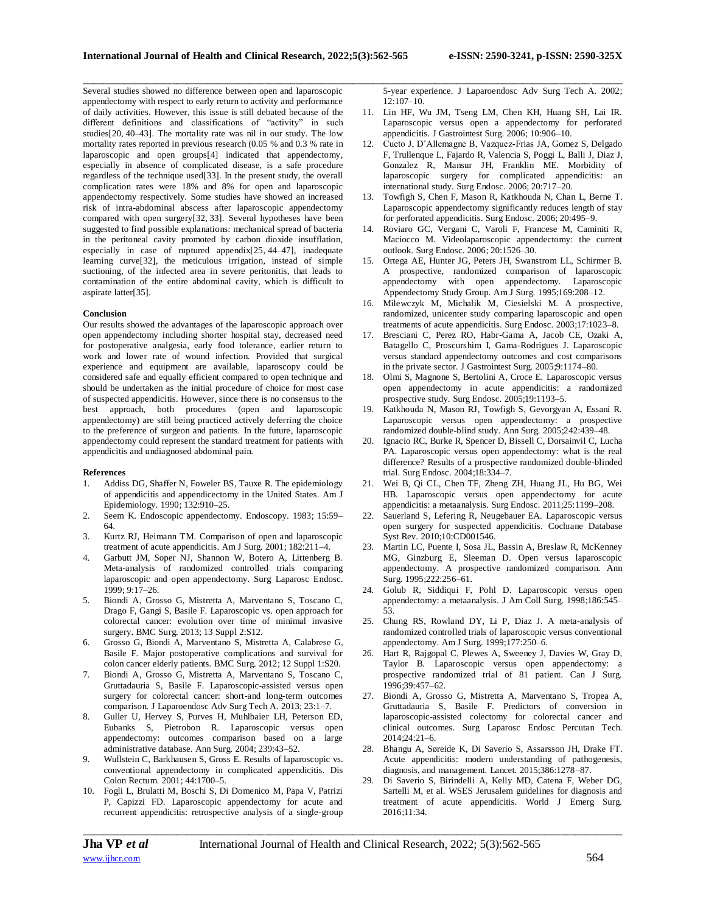\_\_\_\_\_\_\_\_\_\_\_\_\_\_\_\_\_\_\_\_\_\_\_\_\_\_\_\_\_\_\_\_\_\_\_\_\_\_\_\_\_\_\_\_\_\_\_\_\_\_\_\_\_\_\_\_\_\_\_\_\_\_\_\_\_\_\_\_\_\_\_\_\_\_\_\_\_\_\_\_\_\_\_\_\_\_\_\_\_\_\_\_\_\_\_\_\_\_\_\_\_\_\_\_ Several studies showed no difference between open and laparoscopic appendectomy with respect to early return to activity and performance of daily activities. However, this issue is still debated because of the different definitions and classifications of "activity" in such studies[\[20,](https://wjes.biomedcentral.com/articles/10.1186/s13017-016-0102-5#ref-CR20) [40](https://wjes.biomedcentral.com/articles/10.1186/s13017-016-0102-5#ref-CR40)[–43\]](https://wjes.biomedcentral.com/articles/10.1186/s13017-016-0102-5#ref-CR43). The mortality rate was nil in our study. The low mortality rates reported in previous research (0.05 % and 0.3 % rate in laparoscopic and open groups[\[4\]](https://wjes.biomedcentral.com/articles/10.1186/s13017-016-0102-5#ref-CR4) indicated that appendectomy, especially in absence of complicated disease, is a safe procedure regardless of the technique used[\[33\]](https://wjes.biomedcentral.com/articles/10.1186/s13017-016-0102-5#ref-CR33). In the present study, the overall complication rates were 18% and 8% for open and laparoscopic appendectomy respectively. Some studies have showed an increased risk of intra-abdominal abscess after laparoscopic appendectomy compared with open surgery[\[32,](https://wjes.biomedcentral.com/articles/10.1186/s13017-016-0102-5#ref-CR32) [33\]](https://wjes.biomedcentral.com/articles/10.1186/s13017-016-0102-5#ref-CR33). Several hypotheses have been suggested to find possible explanations: mechanical spread of bacteria in the peritoneal cavity promoted by carbon dioxide insufflation, especially in case of ruptured appendix[\[25,](https://wjes.biomedcentral.com/articles/10.1186/s13017-016-0102-5#ref-CR25) [44–](https://wjes.biomedcentral.com/articles/10.1186/s13017-016-0102-5#ref-CR44)[47\]](https://wjes.biomedcentral.com/articles/10.1186/s13017-016-0102-5#ref-CR47), inadequate learning curve[\[32\]](https://wjes.biomedcentral.com/articles/10.1186/s13017-016-0102-5#ref-CR32), the meticulous irrigation, instead of simple suctioning, of the infected area in severe peritonitis, that leads to contamination of the entire abdominal cavity, which is difficult to aspirate latter[\[35\]](https://wjes.biomedcentral.com/articles/10.1186/s13017-016-0102-5#ref-CR35).

#### **Conclusion**

Our results showed the advantages of the laparoscopic approach over open appendectomy including shorter hospital stay, decreased need for postoperative analgesia, early food tolerance, earlier return to work and lower rate of wound infection. Provided that surgical experience and equipment are available, laparoscopy could be considered safe and equally efficient compared to open technique and should be undertaken as the initial procedure of choice for most case of suspected appendicitis. However, since there is no consensus to the best approach, both procedures (open and laparoscopic appendectomy) are still being practiced actively deferring the choice to the preference of surgeon and patients. In the future, laparoscopic appendectomy could represent the standard treatment for patients with appendicitis and undiagnosed abdominal pain.

#### **References**

- 1. Addiss DG, Shaffer N, Foweler BS, Tauxe R. The epidemiology of appendicitis and appendicectomy in the United States. Am J Epidemiology. 1990; 132:910–25.
- 2. Seem K. Endoscopic appendectomy. Endoscopy. 1983; 15:59– 64.
- 3. Kurtz RJ, Heimann TM. Comparison of open and laparoscopic treatment of acute appendicitis. Am J Surg. 2001; 182:211–4.
- 4. Garbutt JM, Soper NJ, Shannon W, Botero A, Littenberg B. Meta-analysis of randomized controlled trials comparing laparoscopic and open appendectomy. Surg Laparosc Endosc. 1999; 9:17–26.
- 5. Biondi A, Grosso G, Mistretta A, Marventano S, Toscano C, Drago F, Gangi S, Basile F. Laparoscopic vs. open approach for colorectal cancer: evolution over time of minimal invasive surgery. BMC Surg. 2013; 13 Suppl 2:S12.
- 6. Grosso G, Biondi A, Marventano S, Mistretta A, Calabrese G, Basile F. Major postoperative complications and survival for colon cancer elderly patients. BMC Surg. 2012; 12 Suppl 1:S20.
- 7. Biondi A, Grosso G, Mistretta A, Marventano S, Toscano C, Gruttadauria S, Basile F. Laparoscopic-assisted versus open surgery for colorectal cancer: short-and long-term outcomes comparison. J Laparoendosc Adv Surg Tech A. 2013; 23:1–7.
- 8. Guller U, Hervey S, Purves H, Muhlbaier LH, Peterson ED, Eubanks S, Pietrobon R. Laparoscopic versus open appendectomy: outcomes comparison based on a large administrative database. Ann Surg. 2004; 239:43–52.
- 9. Wullstein C, Barkhausen S, Gross E. Results of laparoscopic vs. conventional appendectomy in complicated appendicitis. Dis Colon Rectum. 2001; 44:1700–5.
- 10. Fogli L, Brulatti M, Boschi S, Di Domenico M, Papa V, Patrizi P, Capizzi FD. Laparoscopic appendectomy for acute and recurrent appendicitis: retrospective analysis of a single-group

5-year experience. J Laparoendosc Adv Surg Tech A. 2002;  $12:107-10$ .

- 11. Lin HF, Wu JM, Tseng LM, Chen KH, Huang SH, Lai IR. Laparoscopic versus open a appendectomy for perforated appendicitis. J Gastrointest Surg. 2006; 10:906–10.
- 12. Cueto J, D'Allemagne B, Vazquez-Frias JA, Gomez S, Delgado F, Trullenque L, Fajardo R, Valencia S, Poggi L, Balli J, Diaz J, Gonzalez R, Mansur JH, Franklin ME. Morbidity of laparoscopic surgery for complicated appendicitis: an international study. Surg Endosc. 2006; 20:717–20.
- 13. Towfigh S, Chen F, Mason R, Katkhouda N, Chan L, Berne T. Laparoscopic appendectomy significantly reduces length of stay for perforated appendicitis. Surg Endosc. 2006; 20:495–9.
- 14. Roviaro GC, Vergani C, Varoli F, Francese M, Caminiti R, Maciocco M. Videolaparoscopic appendectomy: the current outlook. Surg Endosc. 2006; 20:1526–30.
- 15. Ortega AE, Hunter JG, Peters JH, Swanstrom LL, Schirmer B. A prospective, randomized comparison of laparoscopic appendectomy with open appendectomy. Laparoscopic Appendectomy Study Group. Am J Surg. 1995;169:208–12.
- 16. Milewczyk M, Michalik M, Ciesielski M. A prospective, randomized, unicenter study comparing laparoscopic and open treatments of acute appendicitis. Surg Endosc. 2003;17:1023–8.
- 17. Bresciani C, Perez RO, Habr-Gama A, Jacob CE, Ozaki A, Batagello C, Proscurshim I, Gama-Rodrigues J. Laparoscopic versus standard appendectomy outcomes and cost comparisons in the private sector. J Gastrointest Surg. 2005;9:1174–80.
- 18. Olmi S, Magnone S, Bertolini A, Croce E. Laparoscopic versus open appendectomy in acute appendicitis: a randomized prospective study. Surg Endosc. 2005;19:1193–5.
- 19. Katkhouda N, Mason RJ, Towfigh S, Gevorgyan A, Essani R. Laparoscopic versus open appendectomy: a prospective randomized double-blind study. Ann Surg. 2005;242:439–48.
- 20. Ignacio RC, Burke R, Spencer D, Bissell C, Dorsainvil C, Lucha PA. Laparoscopic versus open appendectomy: what is the real difference? Results of a prospective randomized double-blinded trial. Surg Endosc. 2004;18:334–7.
- 21. Wei B, Qi CL, Chen TF, Zheng ZH, Huang JL, Hu BG, Wei HB. Laparoscopic versus open appendectomy for acute appendicitis: a metaanalysis. Surg Endosc. 2011;25:1199–208.
- 22. Sauerland S, Lefering R, Neugebauer EA. Laparoscopic versus open surgery for suspected appendicitis. Cochrane Database Syst Rev. 2010;10:CD001546.
- 23. Martin LC, Puente I, Sosa JL, Bassin A, Breslaw R, McKenney MG, Ginzburg E, Sleeman D. Open versus laparoscopic appendectomy. A prospective randomized comparison. Ann Surg. 1995;222:256–61.
- 24. Golub R, Siddiqui F, Pohl D. Laparoscopic versus open appendectomy: a metaanalysis. J Am Coll Surg. 1998;186:545– 53.
- 25. Chung RS, Rowland DY, Li P, Diaz J. A meta-analysis of randomized controlled trials of laparoscopic versus conventional appendectomy. Am J Surg. 1999;177:250–6.
- 26. Hart R, Rajgopal C, Plewes A, Sweeney J, Davies W, Gray D, Taylor B. Laparoscopic versus open appendectomy: a prospective randomized trial of 81 patient. Can J Surg. 1996;39:457–62.
- 27. Biondi A, Grosso G, Mistretta A, Marventano S, Tropea A, Gruttadauria S, Basile F. Predictors of conversion in laparoscopic-assisted colectomy for colorectal cancer and clinical outcomes. Surg Laparosc Endosc Percutan Tech. 2014;24:21–6.
- 28. Bhangu A, Søreide K, Di Saverio S, Assarsson JH, Drake FT. Acute appendicitis: modern understanding of pathogenesis, diagnosis, and management. Lancet. 2015;386:1278–87.
- 29. Di Saverio S, Birindelli A, Kelly MD, Catena F, Weber DG, Sartelli M, et al. WSES Jerusalem guidelines for diagnosis and treatment of acute appendicitis. World J Emerg Surg. 2016;11:34.